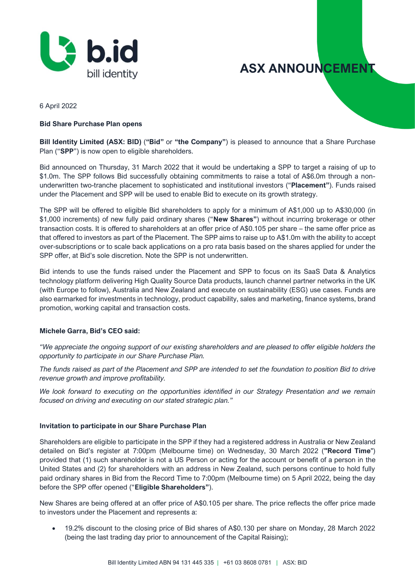

**ASX ANNOUNCEMENT** 

6 April 2022

#### **Bid Share Purchase Plan opens**

**Bill Identity Limited (ASX: BID)** (**"Bid"** or **"the Company"**) is pleased to announce that a Share Purchase Plan ("**SPP**") is now open to eligible shareholders.

Bid announced on Thursday, 31 March 2022 that it would be undertaking a SPP to target a raising of up to \$1.0m. The SPP follows Bid successfully obtaining commitments to raise a total of A\$6.0m through a nonunderwritten two-tranche placement to sophisticated and institutional investors ("**Placement"**). Funds raised under the Placement and SPP will be used to enable Bid to execute on its growth strategy.

The SPP will be offered to eligible Bid shareholders to apply for a minimum of A\$1,000 up to A\$30,000 (in \$1,000 increments) of new fully paid ordinary shares ("**New Shares"**) without incurring brokerage or other transaction costs. It is offered to shareholders at an offer price of A\$0.105 per share – the same offer price as that offered to investors as part of the Placement. The SPP aims to raise up to A\$1.0m with the ability to accept over-subscriptions or to scale back applications on a pro rata basis based on the shares applied for under the SPP offer, at Bid's sole discretion. Note the SPP is not underwritten.

Bid intends to use the funds raised under the Placement and SPP to focus on its SaaS Data & Analytics technology platform delivering High Quality Source Data products, launch channel partner networks in the UK (with Europe to follow), Australia and New Zealand and execute on sustainability (ESG) use cases. Funds are also earmarked for investments in technology, product capability, sales and marketing, finance systems, brand promotion, working capital and transaction costs.

#### **Michele Garra, Bid's CEO said:**

*"We appreciate the ongoing support of our existing shareholders and are pleased to offer eligible holders the opportunity to participate in our Share Purchase Plan.*

*The funds raised as part of the Placement and SPP are intended to set the foundation to position Bid to drive revenue growth and improve profitability.*

*We look forward to executing on the opportunities identified in our Strategy Presentation and we remain focused on driving and executing on our stated strategic plan."* 

#### **Invitation to participate in our Share Purchase Plan**

Shareholders are eligible to participate in the SPP if they had a registered address in Australia or New Zealand detailed on Bid's register at 7:00pm (Melbourne time) on Wednesday, 30 March 2022 (**"Record Time**") provided that (1) such shareholder is not a US Person or acting for the account or benefit of a person in the United States and (2) for shareholders with an address in New Zealand, such persons continue to hold fully paid ordinary shares in Bid from the Record Time to 7:00pm (Melbourne time) on 5 April 2022, being the day before the SPP offer opened ("**Eligible Shareholders"**).

New Shares are being offered at an offer price of A\$0.105 per share. The price reflects the offer price made to investors under the Placement and represents a:

• 19.2% discount to the closing price of Bid shares of A\$0.130 per share on Monday, 28 March 2022 (being the last trading day prior to announcement of the Capital Raising);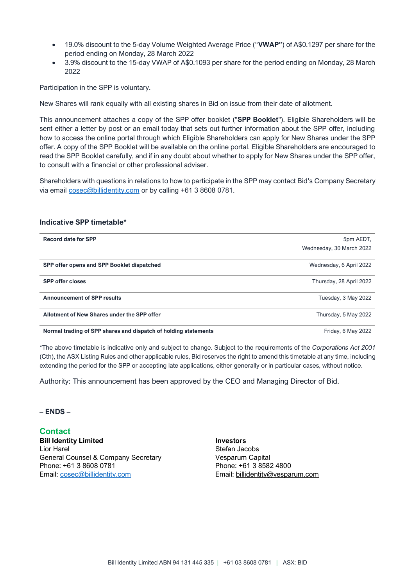- 19.0% discount to the 5-day Volume Weighted Average Price ("**VWAP"**) of A\$0.1297 per share for the period ending on Monday, 28 March 2022
- 3.9% discount to the 15-day VWAP of A\$0.1093 per share for the period ending on Monday, 28 March 2022

Participation in the SPP is voluntary.

New Shares will rank equally with all existing shares in Bid on issue from their date of allotment.

This announcement attaches a copy of the SPP offer booklet ("**SPP Booklet**"). Eligible Shareholders will be sent either a letter by post or an email today that sets out further information about the SPP offer, including how to access the online portal through which Eligible Shareholders can apply for New Shares under the SPP offer. A copy of the SPP Booklet will be available on the online portal. Eligible Shareholders are encouraged to read the SPP Booklet carefully, and if in any doubt about whether to apply for New Shares under the SPP offer, to consult with a financial or other professional adviser.

Shareholders with questions in relations to how to participate in the SPP may contact Bid's Company Secretary via email [cosec@billidentity.com](mailto:cosec@billidentity.com) or by calling +61 3 8608 0781.

#### **Indicative SPP timetable\***

| <b>Record date for SPP</b>                                      | 5pm AEDT,                |
|-----------------------------------------------------------------|--------------------------|
|                                                                 | Wednesday, 30 March 2022 |
| SPP offer opens and SPP Booklet dispatched                      | Wednesday, 6 April 2022  |
| <b>SPP offer closes</b>                                         | Thursday, 28 April 2022  |
| <b>Announcement of SPP results</b>                              | Tuesday, 3 May 2022      |
| Allotment of New Shares under the SPP offer                     | Thursday, 5 May 2022     |
| Normal trading of SPP shares and dispatch of holding statements | Friday, 6 May 2022       |

\*The above timetable is indicative only and subject to change. Subject to the requirements of the *Corporations Act 2001* (Cth), the ASX Listing Rules and other applicable rules, Bid reserves the right to amend this timetable at any time, including extending the period for the SPP or accepting late applications, either generally or in particular cases, without notice.

Authority: This announcement has been approved by the CEO and Managing Director of Bid.

**– ENDS –**

**Contact Bill Identity Limited Investors** Lior Harel **Stefan Jacobs** General Counsel & Company Secretary **Vesparum Capital** Phone: +61 3 8608 0781 Phone: +61 3 8582 4800

Email: [cosec@billidentity.com](mailto:lior.harel@billidentity.com) Email: [billidentity@vesparum.com](mailto:billidentity@vesparum.com)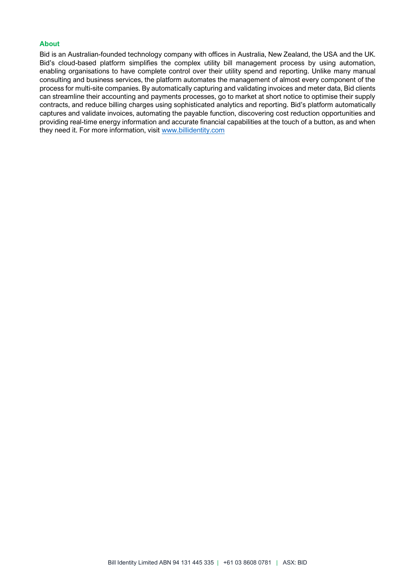#### **About**

Bid is an Australian-founded technology company with offices in Australia, New Zealand, the USA and the UK. Bid's cloud-based platform simplifies the complex utility bill management process by using automation, enabling organisations to have complete control over their utility spend and reporting. Unlike many manual consulting and business services, the platform automates the management of almost every component of the process for multi-site companies. By automatically capturing and validating invoices and meter data, Bid clients can streamline their accounting and payments processes, go to market at short notice to optimise their supply contracts, and reduce billing charges using sophisticated analytics and reporting. Bid's platform automatically captures and validate invoices, automating the payable function, discovering cost reduction opportunities and providing real-time energy information and accurate financial capabilities at the touch of a button, as and when they need it. For more information, visit [www.billidentity.com](file:///C:/Users/Guy/Desktop/Announcements/www.billidentity.com)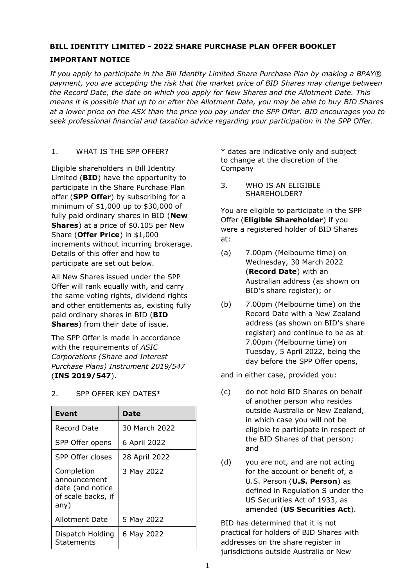# **BILL IDENTITY LIMITED - 2022 SHARE PURCHASE PLAN OFFER BOOKLET**

# **IMPORTANT NOTICE**

*If you apply to participate in the Bill Identity Limited Share Purchase Plan by making a BPAY® payment, you are accepting the risk that the market price of BID Shares may change between the Record Date, the date on which you apply for New Shares and the Allotment Date. This means it is possible that up to or after the Allotment Date, you may be able to buy BID Shares at a lower price on the ASX than the price you pay under the SPP Offer. BID encourages you to seek professional financial and taxation advice regarding your participation in the SPP Offer.*

# 1. WHAT IS THE SPP OFFER?

Eligible shareholders in Bill Identity Limited (**BID**) have the opportunity to participate in the Share Purchase Plan offer (**SPP Offer**) by subscribing for a minimum of \$1,000 up to \$30,000 of fully paid ordinary shares in BID (**New Shares**) at a price of \$0.105 per New Share (**Offer Price**) in \$1,000 increments without incurring brokerage. Details of this offer and how to participate are set out below.

All New Shares issued under the SPP Offer will rank equally with, and carry the same voting rights, dividend rights and other entitlements as, existing fully paid ordinary shares in BID (**BID Shares**) from their date of issue.

The SPP Offer is made in accordance with the requirements of *ASIC Corporations (Share and Interest Purchase Plans) Instrument 2019/547* (**INS 2019/547**).

| Event                                                                        | Date          |
|------------------------------------------------------------------------------|---------------|
| Record Date                                                                  | 30 March 2022 |
| SPP Offer opens                                                              | 6 April 2022  |
| SPP Offer closes                                                             | 28 April 2022 |
| Completion<br>announcement<br>date (and notice<br>of scale backs, if<br>any) | 3 May 2022    |
| Allotment Date                                                               | 5 May 2022    |
| Dispatch Holding<br>Statements                                               | 6 May 2022    |

# 2. SPP OFFER KEY DATES\*

\* dates are indicative only and subject to change at the discretion of the Company

3. WHO IS AN ELIGIBLE SHAREHOLDER?

You are eligible to participate in the SPP Offer (**Eligible Shareholder**) if you were a registered holder of BID Shares at:

- (a) 7.00pm (Melbourne time) on Wednesday, 30 March 2022 (**Record Date**) with an Australian address (as shown on BID's share register); or
- (b) 7.00pm (Melbourne time) on the Record Date with a New Zealand address (as shown on BID's share register) and continue to be as at 7.00pm (Melbourne time) on Tuesday, 5 April 2022, being the day before the SPP Offer opens,

and in either case, provided you:

- (c) do not hold BID Shares on behalf of another person who resides outside Australia or New Zealand, in which case you will not be eligible to participate in respect of the BID Shares of that person; and
- (d) you are not, and are not acting for the account or benefit of, a U.S. Person (**U.S. Person**) as defined in Regulation S under the US Securities Act of 1933, as amended (**US Securities Act**).

BID has determined that it is not practical for holders of BID Shares with addresses on the share register in jurisdictions outside Australia or New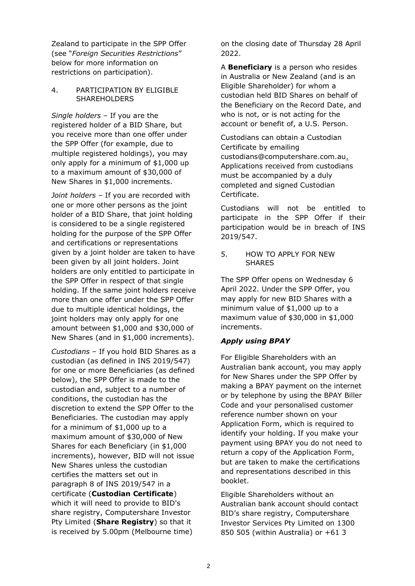Zealand to participate in the SPP Offer (see "*Foreign Securities Restrictions*" below for more information on restrictions on participation).

#### 4. PARTICIPATION BY ELIGIBLE SHAREHOLDERS

*Single holders* – If you are the registered holder of a BID Share, but you receive more than one offer under the SPP Offer (for example, due to multiple registered holdings), you may only apply for a minimum of \$1,000 up to a maximum amount of \$30,000 of New Shares in \$1,000 increments.

*Joint holders* – If you are recorded with one or more other persons as the joint holder of a BID Share, that joint holding is considered to be a single registered holding for the purpose of the SPP Offer and certifications or representations given by a joint holder are taken to have been given by all joint holders. Joint holders are only entitled to participate in the SPP Offer in respect of that single holding. If the same joint holders receive more than one offer under the SPP Offer due to multiple identical holdings, the joint holders may only apply for one amount between \$1,000 and \$30,000 of New Shares (and in \$1,000 increments).

*Custodians* – If you hold BID Shares as a custodian (as defined in INS 2019/547) for one or more Beneficiaries (as defined below), the SPP Offer is made to the custodian and, subject to a number of conditions, the custodian has the discretion to extend the SPP Offer to the Beneficiaries. The custodian may apply for a minimum of \$1,000 up to a maximum amount of \$30,000 of New Shares for each Beneficiary (in \$1,000 increments), however, BID will not issue New Shares unless the custodian certifies the matters set out in paragraph 8 of INS 2019/547 in a certificate (**Custodian Certificate**) which it will need to provide to BID's share registry, Computershare Investor Pty Limited (**Share Registry**) so that it is received by 5.00pm (Melbourne time)

on the closing date of Thursday 28 April 2022.

A **Beneficiary** is a person who resides in Australia or New Zealand (and is an Eligible Shareholder) for whom a custodian held BID Shares on behalf of the Beneficiary on the Record Date, and who is not, or is not acting for the account or benefit of, a U.S. Person.

Custodians can obtain a Custodian Certificate by emailing custodians@computershare.com.au. Applications received from custodians must be accompanied by a duly completed and signed Custodian Certificate.

Custodians will not be entitled to participate in the SPP Offer if their participation would be in breach of INS 2019/547.

### 5. HOW TO APPLY FOR NEW SHARES

The SPP Offer opens on Wednesday 6 April 2022. Under the SPP Offer, you may apply for new BID Shares with a minimum value of \$1,000 up to a maximum value of \$30,000 in \$1,000 increments.

# *Apply using BPAY*

For Eligible Shareholders with an Australian bank account, you may apply for New Shares under the SPP Offer by making a BPAY payment on the internet or by telephone by using the BPAY Biller Code and your personalised customer reference number shown on your Application Form, which is required to identify your holding. If you make your payment using BPAY you do not need to return a copy of the Application Form, but are taken to make the certifications and representations described in this booklet.

Eligible Shareholders without an Australian bank account should contact BID's share registry, Computershare Investor Services Pty Limited on 1300 850 505 (within Australia) or +61 3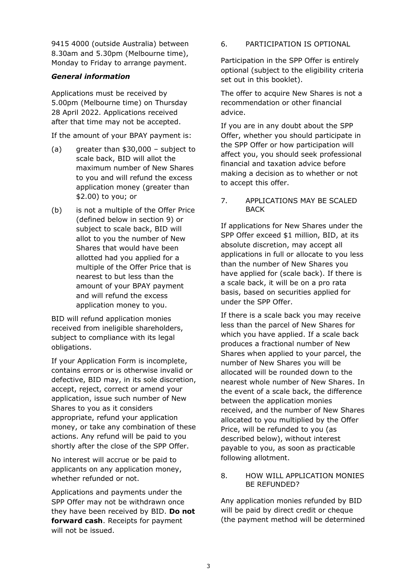9415 4000 (outside Australia) between 8.30am and 5.30pm (Melbourne time), Monday to Friday to arrange payment.

### *General information*

Applications must be received by 5.00pm (Melbourne time) on Thursday 28 April 2022. Applications received after that time may not be accepted.

If the amount of your BPAY payment is:

- (a) greater than \$30,000 subject to scale back, BID will allot the maximum number of New Shares to you and will refund the excess application money (greater than \$2.00) to you; or
- (b) is not a multiple of the Offer Price (defined below in section [9\)](#page-6-0) or subject to scale back, BID will allot to you the number of New Shares that would have been allotted had you applied for a multiple of the Offer Price that is nearest to but less than the amount of your BPAY payment and will refund the excess application money to you.

BID will refund application monies received from ineligible shareholders, subject to compliance with its legal obligations.

If your Application Form is incomplete, contains errors or is otherwise invalid or defective, BID may, in its sole discretion, accept, reject, correct or amend your application, issue such number of New Shares to you as it considers appropriate, refund your application money, or take any combination of these actions. Any refund will be paid to you shortly after the close of the SPP Offer.

No interest will accrue or be paid to applicants on any application money, whether refunded or not.

Applications and payments under the SPP Offer may not be withdrawn once they have been received by BID. **Do not forward cash**. Receipts for payment will not be issued.

6. PARTICIPATION IS OPTIONAL

Participation in the SPP Offer is entirely optional (subject to the eligibility criteria set out in this booklet).

The offer to acquire New Shares is not a recommendation or other financial advice.

If you are in any doubt about the SPP Offer, whether you should participate in the SPP Offer or how participation will affect you, you should seek professional financial and taxation advice before making a decision as to whether or not to accept this offer.

### 7. APPLICATIONS MAY BE SCALED BACK

If applications for New Shares under the SPP Offer exceed \$1 million, BID, at its absolute discretion, may accept all applications in full or allocate to you less than the number of New Shares you have applied for (scale back). If there is a scale back, it will be on a pro rata basis, based on securities applied for under the SPP Offer.

If there is a scale back you may receive less than the parcel of New Shares for which you have applied. If a scale back produces a fractional number of New Shares when applied to your parcel, the number of New Shares you will be allocated will be rounded down to the nearest whole number of New Shares. In the event of a scale back, the difference between the application monies received, and the number of New Shares allocated to you multiplied by the Offer Price, will be refunded to you (as described below), without interest payable to you, as soon as practicable following allotment.

#### 8. HOW WILL APPLICATION MONIES BE REFUNDED?

Any application monies refunded by BID will be paid by direct credit or cheque (the payment method will be determined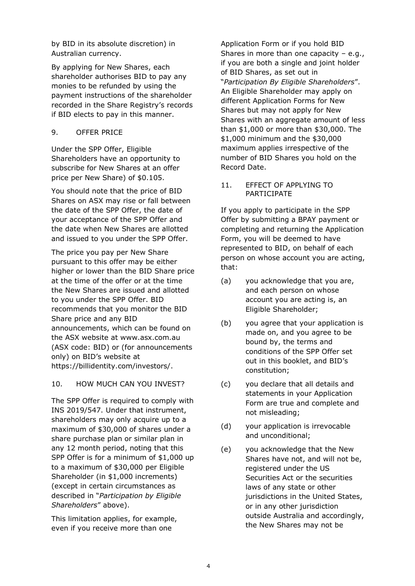by BID in its absolute discretion) in Australian currency.

By applying for New Shares, each shareholder authorises BID to pay any monies to be refunded by using the payment instructions of the shareholder recorded in the Share Registry's records if BID elects to pay in this manner.

## <span id="page-6-0"></span>9. OFFER PRICE

Under the SPP Offer, Eligible Shareholders have an opportunity to subscribe for New Shares at an offer price per New Share) of \$0.105.

You should note that the price of BID Shares on ASX may rise or fall between the date of the SPP Offer, the date of your acceptance of the SPP Offer and the date when New Shares are allotted and issued to you under the SPP Offer.

The price you pay per New Share pursuant to this offer may be either higher or lower than the BID Share price at the time of the offer or at the time the New Shares are issued and allotted to you under the SPP Offer. BID recommends that you monitor the BID Share price and any BID announcements, which can be found on the ASX website at www.asx.com.au (ASX code: BID) or (for announcements only) on BID's website at https://billidentity.com/investors/.

# 10. HOW MUCH CAN YOU INVEST?

The SPP Offer is required to comply with INS 2019/547. Under that instrument, shareholders may only acquire up to a maximum of \$30,000 of shares under a share purchase plan or similar plan in any 12 month period, noting that this SPP Offer is for a minimum of \$1,000 up to a maximum of \$30,000 per Eligible Shareholder (in \$1,000 increments) (except in certain circumstances as described in "*Participation by Eligible Shareholders*" above).

This limitation applies, for example, even if you receive more than one

Application Form or if you hold BID Shares in more than one capacity – e.g., if you are both a single and joint holder of BID Shares, as set out in "*Participation By Eligible Shareholders*". An Eligible Shareholder may apply on different Application Forms for New Shares but may not apply for New Shares with an aggregate amount of less than \$1,000 or more than \$30,000. The \$1,000 minimum and the \$30,000 maximum applies irrespective of the number of BID Shares you hold on the Record Date.

#### 11. EFFECT OF APPLYING TO PARTICIPATE

If you apply to participate in the SPP Offer by submitting a BPAY payment or completing and returning the Application Form, you will be deemed to have represented to BID, on behalf of each person on whose account you are acting, that:

- (a) you acknowledge that you are, and each person on whose account you are acting is, an Eligible Shareholder;
- (b) you agree that your application is made on, and you agree to be bound by, the terms and conditions of the SPP Offer set out in this booklet, and BID's constitution;
- (c) you declare that all details and statements in your Application Form are true and complete and not misleading;
- (d) your application is irrevocable and unconditional;
- (e) you acknowledge that the New Shares have not, and will not be, registered under the US Securities Act or the securities laws of any state or other jurisdictions in the United States, or in any other jurisdiction outside Australia and accordingly, the New Shares may not be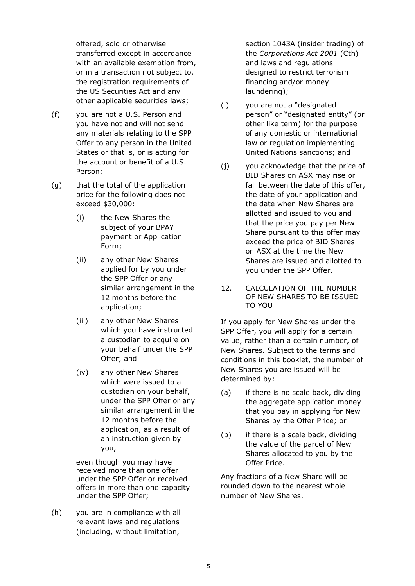offered, sold or otherwise transferred except in accordance with an available exemption from, or in a transaction not subject to, the registration requirements of the US Securities Act and any other applicable securities laws;

- (f) you are not a U.S. Person and you have not and will not send any materials relating to the SPP Offer to any person in the United States or that is, or is acting for the account or benefit of a U.S. Person;
- (g) that the total of the application price for the following does not exceed \$30,000:
	- (i) the New Shares the subject of your BPAY payment or Application Form;
	- (ii) any other New Shares applied for by you under the SPP Offer or any similar arrangement in the 12 months before the application;
	- (iii) any other New Shares which you have instructed a custodian to acquire on your behalf under the SPP Offer; and
	- (iv) any other New Shares which were issued to a custodian on your behalf, under the SPP Offer or any similar arrangement in the 12 months before the application, as a result of an instruction given by you,

even though you may have received more than one offer under the SPP Offer or received offers in more than one capacity under the SPP Offer;

(h) you are in compliance with all relevant laws and regulations (including, without limitation,

section 1043A (insider trading) of the *Corporations Act 2001* (Cth) and laws and regulations designed to restrict terrorism financing and/or money laundering);

- (i) you are not a "designated person" or "designated entity" (or other like term) for the purpose of any domestic or international law or regulation implementing United Nations sanctions; and
- (j) you acknowledge that the price of BID Shares on ASX may rise or fall between the date of this offer, the date of your application and the date when New Shares are allotted and issued to you and that the price you pay per New Share pursuant to this offer may exceed the price of BID Shares on ASX at the time the New Shares are issued and allotted to you under the SPP Offer.
- 12. CALCULATION OF THE NUMBER OF NEW SHARES TO BE ISSUED TO YOU

If you apply for New Shares under the SPP Offer, you will apply for a certain value, rather than a certain number, of New Shares. Subject to the terms and conditions in this booklet, the number of New Shares you are issued will be determined by:

- (a) if there is no scale back, dividing the aggregate application money that you pay in applying for New Shares by the Offer Price; or
- (b) if there is a scale back, dividing the value of the parcel of New Shares allocated to you by the Offer Price.

Any fractions of a New Share will be rounded down to the nearest whole number of New Shares.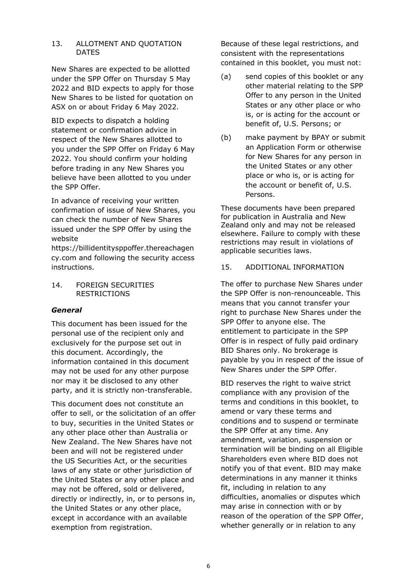#### 13. ALLOTMENT AND QUOTATION DATES

New Shares are expected to be allotted under the SPP Offer on Thursday 5 May 2022 and BID expects to apply for those New Shares to be listed for quotation on ASX on or about Friday 6 May 2022.

BID expects to dispatch a holding statement or confirmation advice in respect of the New Shares allotted to you under the SPP Offer on Friday 6 May 2022. You should confirm your holding before trading in any New Shares you believe have been allotted to you under the SPP Offer.

In advance of receiving your written confirmation of issue of New Shares, you can check the number of New Shares issued under the SPP Offer by using the website

[https://billidentitysppoffer.thereachagen](https://protect-au.mimecast.com/s/igijCnx1x7CGlwZls9K1nM?domain=billidentitysppoffer.thereachagency.com) [cy.com](https://protect-au.mimecast.com/s/igijCnx1x7CGlwZls9K1nM?domain=billidentitysppoffer.thereachagency.com) and following the security access instructions.

14. FOREIGN SECURITIES RESTRICTIONS

# *General*

This document has been issued for the personal use of the recipient only and exclusively for the purpose set out in this document. Accordingly, the information contained in this document may not be used for any other purpose nor may it be disclosed to any other party, and it is strictly non-transferable.

This document does not constitute an offer to sell, or the solicitation of an offer to buy, securities in the United States or any other place other than Australia or New Zealand. The New Shares have not been and will not be registered under the US Securities Act, or the securities laws of any state or other jurisdiction of the United States or any other place and may not be offered, sold or delivered, directly or indirectly, in, or to persons in, the United States or any other place, except in accordance with an available exemption from registration.

Because of these legal restrictions, and consistent with the representations contained in this booklet, you must not:

- (a) send copies of this booklet or any other material relating to the SPP Offer to any person in the United States or any other place or who is, or is acting for the account or benefit of, U.S. Persons; or
- (b) make payment by BPAY or submit an Application Form or otherwise for New Shares for any person in the United States or any other place or who is, or is acting for the account or benefit of, U.S. Persons.

These documents have been prepared for publication in Australia and New Zealand only and may not be released elsewhere. Failure to comply with these restrictions may result in violations of applicable securities laws.

# 15. ADDITIONAL INFORMATION

The offer to purchase New Shares under the SPP Offer is non-renounceable. This means that you cannot transfer your right to purchase New Shares under the SPP Offer to anyone else. The entitlement to participate in the SPP Offer is in respect of fully paid ordinary BID Shares only. No brokerage is payable by you in respect of the issue of New Shares under the SPP Offer.

BID reserves the right to waive strict compliance with any provision of the terms and conditions in this booklet, to amend or vary these terms and conditions and to suspend or terminate the SPP Offer at any time. Any amendment, variation, suspension or termination will be binding on all Eligible Shareholders even where BID does not notify you of that event. BID may make determinations in any manner it thinks fit, including in relation to any difficulties, anomalies or disputes which may arise in connection with or by reason of the operation of the SPP Offer, whether generally or in relation to any